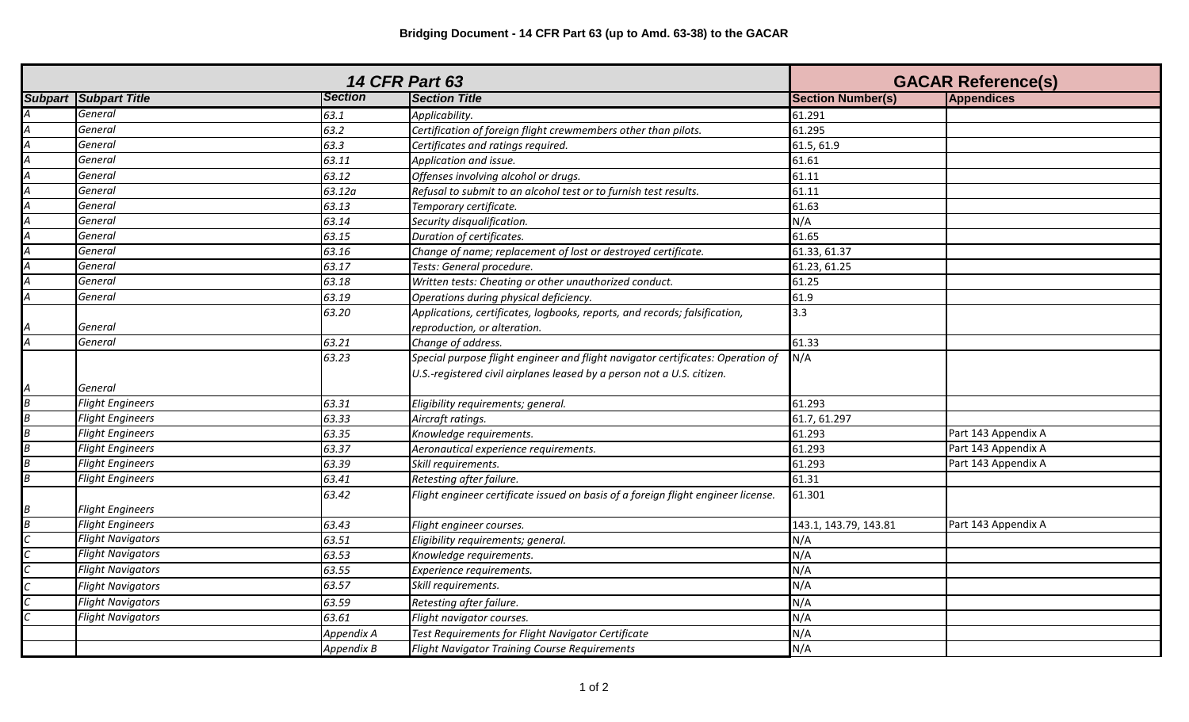|   | <b>14 CFR Part 63</b>          |                |                                                                                   |                          | <b>GACAR Reference(s)</b> |  |
|---|--------------------------------|----------------|-----------------------------------------------------------------------------------|--------------------------|---------------------------|--|
|   | <b>Subpart   Subpart Title</b> | <b>Section</b> | <b>Section Title</b>                                                              | <b>Section Number(s)</b> | <b>Appendices</b>         |  |
|   | General                        | 63.1           | Applicability.                                                                    | 61.291                   |                           |  |
|   | General                        | 63.2           | Certification of foreign flight crewmembers other than pilots.                    | 61.295                   |                           |  |
|   | General                        | 63.3           | Certificates and ratings required.                                                | 61.5, 61.9               |                           |  |
|   | General                        | 63.11          | Application and issue.                                                            | 61.61                    |                           |  |
|   | General                        | 63.12          | Offenses involving alcohol or drugs.                                              | 61.11                    |                           |  |
|   | General                        | 63.12a         | Refusal to submit to an alcohol test or to furnish test results.                  | 61.11                    |                           |  |
|   | General                        | 63.13          | Temporary certificate.                                                            | 61.63                    |                           |  |
|   | General                        | 63.14          | Security disqualification.                                                        | N/A                      |                           |  |
|   | General                        | 63.15          | Duration of certificates.                                                         | 61.65                    |                           |  |
|   | General                        | 63.16          | Change of name; replacement of lost or destroyed certificate.                     | 61.33, 61.37             |                           |  |
|   | General                        | 63.17          | Tests: General procedure.                                                         | 61.23, 61.25             |                           |  |
|   | General                        | 63.18          | Written tests: Cheating or other unauthorized conduct.                            | 61.25                    |                           |  |
|   | General                        | 63.19          | Operations during physical deficiency.                                            | 61.9                     |                           |  |
|   |                                | 63.20          | Applications, certificates, logbooks, reports, and records; falsification,        | 3.3                      |                           |  |
|   | General                        |                | reproduction, or alteration.                                                      |                          |                           |  |
|   | General                        | 63.21          | Change of address.                                                                | 61.33                    |                           |  |
|   |                                | 63.23          | Special purpose flight engineer and flight navigator certificates: Operation of   | N/A                      |                           |  |
|   |                                |                | U.S.-registered civil airplanes leased by a person not a U.S. citizen.            |                          |                           |  |
|   | General                        |                |                                                                                   |                          |                           |  |
| B | <b>Flight Engineers</b>        | 63.31          | Eligibility requirements; general.                                                | 61.293                   |                           |  |
|   | <b>Flight Engineers</b>        | 63.33          | Aircraft ratings.                                                                 | 61.7, 61.297             |                           |  |
|   | <b>Flight Engineers</b>        | 63.35          | Knowledge requirements.                                                           | 61.293                   | Part 143 Appendix A       |  |
|   | <b>Flight Engineers</b>        | 63.37          | Aeronautical experience requirements.                                             | 61.293                   | Part 143 Appendix A       |  |
|   | <b>Flight Engineers</b>        | 63.39          | Skill requirements.                                                               | 61.293                   | Part 143 Appendix A       |  |
| В | <b>Flight Engineers</b>        | 63.41          | Retesting after failure.                                                          | 61.31                    |                           |  |
|   |                                | 63.42          | Flight engineer certificate issued on basis of a foreign flight engineer license. | 61.301                   |                           |  |
|   | <b>Flight Engineers</b>        |                |                                                                                   |                          |                           |  |
|   | <b>Flight Engineers</b>        | 63.43          | Flight engineer courses.                                                          | 143.1, 143.79, 143.81    | Part 143 Appendix A       |  |
|   | <b>Flight Navigators</b>       | 63.51          | Eligibility requirements; general.                                                | N/A                      |                           |  |
|   | <b>Flight Navigators</b>       | 63.53          | Knowledge requirements.                                                           | N/A                      |                           |  |
|   | <b>Flight Navigators</b>       | 63.55          | Experience requirements.                                                          | N/A                      |                           |  |
|   | <b>Flight Navigators</b>       | 63.57          | Skill requirements.                                                               | N/A                      |                           |  |
|   | <b>Flight Navigators</b>       | 63.59          | Retesting after failure.                                                          | N/A                      |                           |  |
|   | <b>Flight Navigators</b>       | 63.61          | Flight navigator courses.                                                         | N/A                      |                           |  |
|   |                                | Appendix A     | Test Requirements for Flight Navigator Certificate                                | N/A                      |                           |  |
|   |                                | Appendix B     | <b>Flight Navigator Training Course Requirements</b>                              | N/A                      |                           |  |